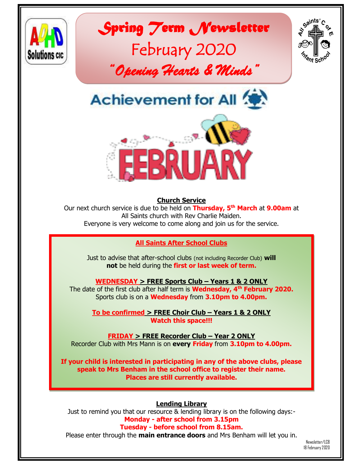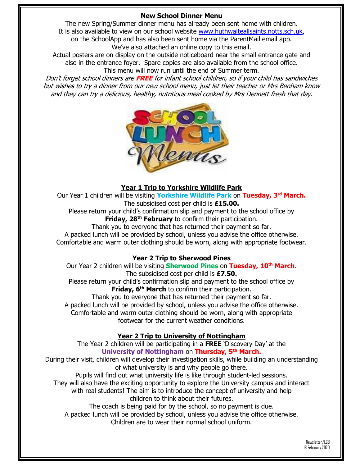# **New School Dinner Menu**

The new Spring/Summer dinner menu has already been sent home with children. It is also available to view on our school website [www.huthwaiteallsaints.notts.sch.uk,](http://www.huthwaiteallsaints.notts.sch.uk/) on the SchoolApp and has also been sent home via the ParentMail email app. We've also attached an online copy to this email.

Actual posters are on display on the outside noticeboard near the small entrance gate and also in the entrance foyer. Spare copies are also available from the school office. This menu will now run until the end of Summer term.

Don't forget school dinners are **FREE** for infant school children, so if your child has sandwiches but wishes to try a dinner from our new school menu, just let their teacher or Mrs Benham know and they can try a delicious, healthy, nutritious meal cooked by Mrs Dennett fresh that day.



## **Year 1 Trip to Yorkshire Wildlife Park**

Our Year 1 children will be visiting **Yorkshire Wildlife Park** on **Tuesday, 3rd March.** The subsidised cost per child is **£15.00.**

Please return your child's confirmation slip and payment to the school office by **Friday, 28th February** to confirm their participation.

Thank you to everyone that has returned their payment so far.

A packed lunch will be provided by school, unless you advise the office otherwise. Comfortable and warm outer clothing should be worn, along with appropriate footwear.

## **Year 2 Trip to Sherwood Pines**

Our Year 2 children will be visiting **Sherwood Pines** on **Tuesday, 10th March.** The subsidised cost per child is **£7.50.** Please return your child's confirmation slip and payment to the school office by **Friday, 6 th March** to confirm their participation. Thank you to everyone that has returned their payment so far.

A packed lunch will be provided by school, unless you advise the office otherwise. Comfortable and warm outer clothing should be worn, along with appropriate footwear for the current weather conditions.

## **Year 2 Trip to University of Nottingham**

The Year 2 children will be participating in a **FREE** 'Discovery Day' at the **University of Nottingham** on **Thursday, 5th March.** 

During their visit, children will develop their investigation skills, while building an understanding of what university is and why people go there.

Pupils will find out what university life is like through student-led sessions.

They will also have the exciting opportunity to explore the University campus and interact

with real students! The aim is to introduce the concept of university and help children to think about their futures.

The coach is being paid for by the school, so no payment is due. A packed lunch will be provided by school, unless you advise the office otherwise. Children are to wear their normal school uniform.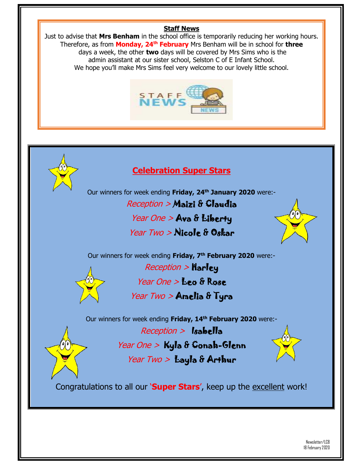## **Staff News**

Just to advise that **Mrs Benham** in the school office is temporarily reducing her working hours. Therefore, as from **Monday, 24th February** Mrs Benham will be in school for **three** days a week, the other **two** days will be covered by Mrs Sims who is the admin assistant at our sister school, Selston C of E Infant School. We hope you'll make Mrs Sims feel very welcome to our lovely little school.





# **Celebration Super Stars**

Our winners for week ending **Friday, 24th January 2020** were:- Reception > Maizi & Claudia Year One > Ava & Liberty

Year Two > Nicole & Oskar



Our winners for week ending **Friday, 7th February 2020** were:-



 $Reception >$  Harley Year One > Leo & Rose Year Two > Amelia & Tyra

Our winners for week ending **Friday, 14th February 2020** were:-

 $Reception >$  Isabella

Year One > Kyla & Conah-Glenn



Year Two  $>$  Layla & Arthur

Congratulations to all our '**Super Stars**', keep up the excellent work!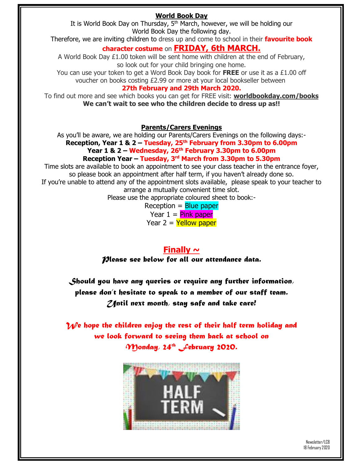# **World Book Day**

It is World Book Day on Thursday,  $5<sup>th</sup>$  March, however, we will be holding our World Book Day the following day.

Therefore, we are inviting children to dress up and come to school in their **favourite book** 

# **character costume** on **FRIDAY, 6th MARCH.**

A World Book Day £1.00 token will be sent home with children at the end of February, so look out for your child bringing one home.

You can use your token to get a Word Book Day book for **FREE** or use it as a £1.00 off voucher on books costing £2.99 or more at your local bookseller between

#### **27th February and 29th March 2020.**

To find out more and see which books you can get for FREE visit: **worldbookday.com/books We can't wait to see who the children decide to dress up as!!**

**Parents/Carers Evenings**

As you'll be aware, we are holding our Parents/Carers Evenings on the following days:- **Reception, Year 1 & 2 – Tuesday, 25th February from 3.30pm to 6.00pm Year 1 & 2 – Wednesday, 26th February 3.30pm to 6.00pm**

**Reception Year – Tuesday, 3 rd March from 3.30pm to 5.30pm** Time slots are available to book an appointment to see your class teacher in the entrance foyer,

so please book an appointment after half term, if you haven't already done so. If you're unable to attend any of the appointment slots available, please speak to your teacher to arrange a mutually convenient time slot.

Please use the appropriate coloured sheet to book:-

 $Reception = Blue paper$ Year  $1 =$  Pink paper Year  $2 =$  Yellow paper

**Finally ~** *Please see below for all our attendance data.*

*Should you have any queries or require any further information, please don't hesitate to speak to a member of our staff team. Until next month, stay safe and take care!*

*M*/e hope the children enjoy the rest of their half term holiday and *we look forward to seeing them back at school on Monday, 24th February 2020.*